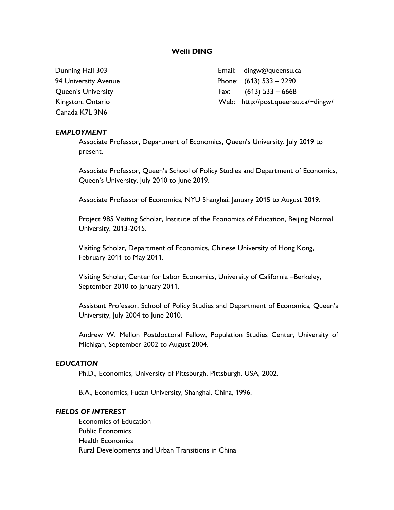# **Weili DING**

Canada K7L 3N6

Dunning Hall 303 Email: dingw@queensu.ca 94 University Avenue **Phone:** (613) 533 – 2290 Queen's University Fax: (613) 533 – 6668 Kingston, Ontario **Michael According Michael Michael Web:** http://post.queensu.ca/~dingw/

### *EMPLOYMENT*

Associate Professor, Department of Economics, Queen's University, July 2019 to present.

Associate Professor, Queen's School of Policy Studies and Department of Economics, Queen's University, July 2010 to June 2019.

Associate Professor of Economics, NYU Shanghai, January 2015 to August 2019.

Project 985 Visiting Scholar, Institute of the Economics of Education, Beijing Normal University, 2013-2015.

Visiting Scholar, Department of Economics, Chinese University of Hong Kong, February 2011 to May 2011.

Visiting Scholar, Center for Labor Economics, University of California –Berkeley, September 2010 to January 2011.

Assistant Professor, School of Policy Studies and Department of Economics, Queen's University, July 2004 to June 2010.

Andrew W. Mellon Postdoctoral Fellow, Population Studies Center, University of Michigan, September 2002 to August 2004.

#### *EDUCATION*

Ph.D., Economics, University of Pittsburgh, Pittsburgh, USA, 2002.

B.A., Economics, Fudan University, Shanghai, China, 1996.

#### *FIELDS OF INTEREST*

Economics of Education Public Economics Health Economics Rural Developments and Urban Transitions in China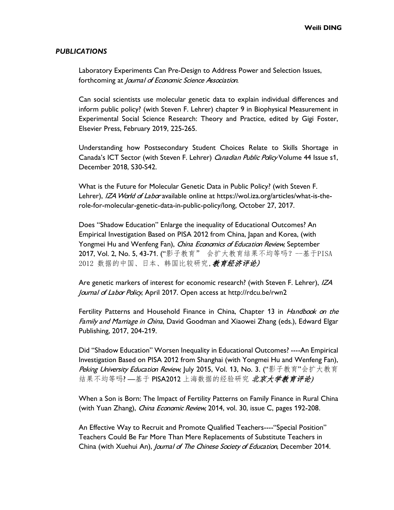#### *PUBLICATIONS*

Laboratory Experiments Can Pre-Design to Address Power and Selection Issues, forthcoming at Journal of Economic Science Association.

Can social scientists use molecular genetic data to explain individual differences and inform public policy? (with Steven F. Lehrer) chapter 9 in Biophysical Measurement in Experimental Social Science Research: Theory and Practice, edited by Gigi Foster, Elsevier Press, February 2019, 225-265.

Understanding how Postsecondary Student Choices Relate to Skills Shortage in Canada's ICT Sector (with Steven F. Lehrer) Canadian Public Policy Volume 44 Issue s1, December 2018, S30-S42.

What is the Future for Molecular Genetic Data in Public Policy? (with Steven F. Lehrer), IZA World of Labor available online at https://wol.iza.org/articles/what-is-therole-for-molecular-genetic-data-in-public-policy/long, October 27, 2017.

Does "Shadow Education" Enlarge the inequality of Educational Outcomes? An Empirical Investigation Based on PISA 2012 from China, Japan and Korea, (with Yongmei Hu and Wenfeng Fan), *China Economics of Education Review*, September 2017, Vol. 2, No. 5, 43-71. ("影子教育" 会扩大教育结果不均等吗? --基于PISA 2012 数据的中国、日本、韩国比较研究, 教育经济评论)

Are genetic markers of interest for economic research? (with Steven F. Lehrer), IZA Journal of Labor Policy, April 2017. Open access at [http://rdcu.be/rwn2](http://em.rdcu.be/wf/click?upn=KP7O1RED-2BlD0F9LDqGVeSOx2If9gjpMA9hbHdS-2BF5o0-3D_WRiL7unj5SUCZ-2FT-2FLXv8FF0jrzxASuFCeh-2F-2B7JmrTlRTUoHuHjyhVcl5YUDDUoYLO51oAUlZugMzUkmn9g0OkQOJmiit1MQt92PH2sLMRaa0ORp1fF8ZrIffS8uqrlABtH-2BNQANorKAZFzs-2FEEVw-2BoZk3aTgyN1D8kTFywe6jpQQJ-2FoFLUlnEhGdwmUGaL2K1E88V2VoX0bZptoZ9yFNHA-3D-3D)

Fertility Patterns and Household Finance in China, Chapter 13 in Handbook on the Family and Marriage in China, David Goodman and Xiaowei Zhang (eds.), Edward Elgar Publishing, 2017, 204-219.

Did "Shadow Education" Worsen Inequality in Educational Outcomes? ----An Empirical Investigation Based on PISA 2012 from Shanghai (with Yongmei Hu and Wenfeng Fan), Peking University Education Review, July 2015, Vol. 13, No. 3. ("影子教育"会扩大教育 结果不均等吗? —基于 PISA2012 上海数据的经验研究 北京大学教育评论)

When a Son is Born: The Impact of Fertility Patterns on Family Finance in Rural China (with Yuan Zhang), *China Economic Review*, 2014, vol. 30, issue C, pages 192-208.

An Effective Way to Recruit and Promote Qualified Teachers----"Special Position" Teachers Could Be Far More Than Mere Replacements of Substitute Teachers in China (with Xuehui An), *Journal of The Chinese Society of Education*, December 2014.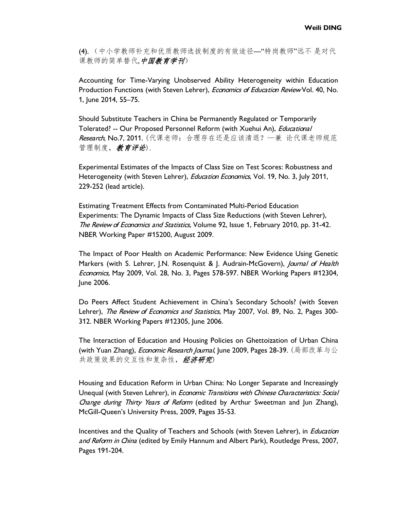(4). (中小学教师补充和优质教师选拔制度的有效途径—"特岗教师"远不 是对代 课教师的简单替代,中国教育学刊)

Accounting for Time-Varying Unobserved Ability Heterogeneity within Education Production Functions (with Steven Lehrer), *Economics of Education Review* Vol. 40, No. 1, June 2014, 55–75.

Should Substitute Teachers in China be Permanently Regulated or Temporarily Tolerated? -- Our Proposed Personnel Reform (with Xuehui An), *Educational* Research, No.7, 2011. (代课老师: 合理存在还是应该清退?—兼 论代课老师规范 管理制度,教育评论).

Experimental Estimates of the Impacts of Class Size on Test Scores: Robustness and Heterogeneity (with Steven Lehrer), *Education Economics*, Vol. 19, No. 3, July 2011, 229-252 (lead article).

Estimating Treatment Effects from Contaminated Multi-Period Education Experiments: The Dynamic Impacts of Class Size Reductions (with Steven Lehrer), The Review of Economics and Statistics, Volume 92, Issue 1, February 2010, pp. 31-42. NBER Working Paper #15200, August 2009.

The Impact of Poor Health on Academic Performance: New Evidence Using Genetic Markers (with S. Lehrer, J.N. Rosenquist & J. Audrain-McGovern), *Journal of Health* Economics, May 2009, Vol. 28, No. 3, Pages 578-597. NBER Working Papers #12304, June 2006.

Do Peers Affect Student Achievement in China's Secondary Schools? (with Steven Lehrer), The Review of Economics and Statistics, May 2007, Vol. 89, No. 2, Pages 300-312. NBER Working Papers #12305, June 2006.

The Interaction of Education and Housing Policies on Ghettoization of Urban China (with Yuan Zhang), *Economic Research Journal*, June 2009, Pages 28-39. (局部改革与公 共政策效果的交互性和复杂性,经济研究)

Housing and Education Reform in Urban China: No Longer Separate and Increasingly Unequal (with Steven Lehrer), in *Economic Transitions with Chinese Characteristics: Social* Change during Thirty Years of Reform (edited by Arthur Sweetman and Jun Zhang), McGill-Queen's University Press, 2009, Pages 35-53.

Incentives and the Quality of Teachers and Schools (with Steven Lehrer), in *Education* and Reform in China (edited by Emily Hannum and Albert Park), Routledge Press, 2007, Pages 191-204.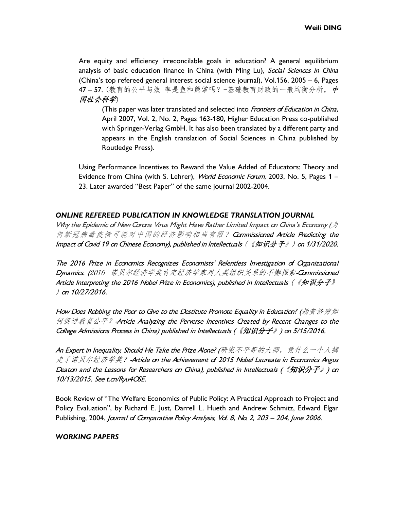Are equity and efficiency irreconcilable goals in education? A general equilibrium analysis of basic education finance in China (with Ming Lu), Social Sciences in China (China's top refereed general interest social science journal), Vol.156, 2005 – 6, Pages 47-57. (教育的公平与效 率是鱼和熊掌吗?-基础教育财政的一般均衡分析, 中 国社会科学)

(This paper was later translated and selected into Frontiers of Education in China, April 2007, Vol. 2, No. 2, Pages 163-180, Higher Education Press co-published with Springer-Verlag GmbH. It has also been translated by a different party and appears in the English translation of [Social Sciences in China](http://www.informaworld.com/smpp/title%7Edb=all%7Econtent=t792221890) published by [Routledge](http://www.informaworld.com/rout) Press).

Using Performance Incentives to Reward the Value Added of Educators: Theory and Evidence from China (with S. Lehrer), World Economic Forum, 2003, No. 5, Pages 1 -23. Later awarded "Best Paper" of the same journal 2002-2004.

# *ONLINE REFEREED PUBLICATION IN KNOWLEDGE TRANSLATION JOURNAL*

Why the Epidemic of New Corona Virus Might Have Rather Limited Impact on China's Economy ( $\not\!\!\!\!/$ 何新冠病毒疫情可能对中国的经济影响相当有限? Commissioned Article Predicting the Impact of Covid 19 on Chinese Economy), published in Intellectuals (《知识分子》) on 1/31/2020.

The 2016 Prize in Economics Recognizes Economists' Relentless Investigation of Organizational Dynamics. (2016 诺贝尔经济学奖肯定经济学家对人类组织关系的不懈探索-Commissioned Article Interpreting the 2016 Nobel Prize in Economics), published in Intellectuals (《知识分子》 ) on 10/27/2016.

How Does Robbing the Poor to Gve to the Destitute Promote Equality in Education? (劫贫济穷如 何促进教育公平?-Article Analyzing the Perverse Incentives Created by Recent Changes to the College Admissions Process in China) published in Intellectuals (《知识分子》) on 5/15/2016.

An Expert in Inequality, Should He Take the Prize Alone? (研究不平等的大师, 凭什么一个人摘 走了诺贝尔经济学奖?-Article on the Achievement of 2015 Nobel Laureate in Economics Angus Deaton and the Lessons for Researchers on China), published in Intellectuals (《知识分子》) on 10/13/2015. See t.cn/Ryu4OSE.

Book Review of "The Welfare Economics of Public Policy: A Practical Approach to Project and Policy Evaluation", by Richard E. Just, Darrell L. Hueth and Andrew Schmitz, Edward Elgar Publishing, 2004. Journal of Comparative Policy Analysis, Vol. 8, No. 2, 203 - 204, June 2006.

# *WORKING PAPERS*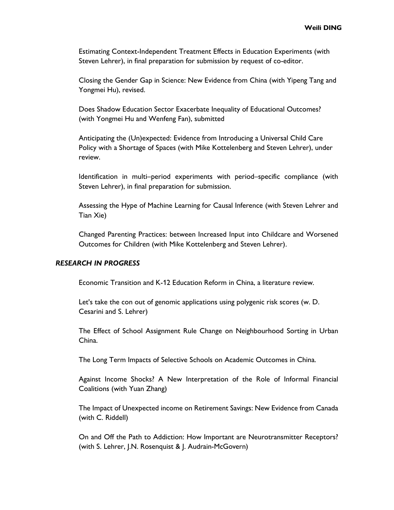Estimating Context-Independent Treatment Effects in Education Experiments (with Steven Lehrer), in final preparation for submission by request of co-editor.

Closing the Gender Gap in Science: New Evidence from China (with Yipeng Tang and Yongmei Hu), revised.

Does Shadow Education Sector Exacerbate Inequality of Educational Outcomes? (with Yongmei Hu and Wenfeng Fan), submitted

Anticipating the (Un)expected: Evidence from Introducing a Universal Child Care Policy with a Shortage of Spaces (with Mike Kottelenberg and Steven Lehrer), under review.

Identification in multi–period experiments with period–specific compliance (with Steven Lehrer), in final preparation for submission.

Assessing the Hype of Machine Learning for Causal Inference (with Steven Lehrer and Tian Xie)

Changed Parenting Practices: between Increased Input into Childcare and Worsened Outcomes for Children (with Mike Kottelenberg and Steven Lehrer).

## *RESEARCH IN PROGRESS*

Economic Transition and K-12 Education Reform in China, a literature review.

Let's take the con out of genomic applications using polygenic risk scores (w. D. Cesarini and S. Lehrer)

The Effect of School Assignment Rule Change on Neighbourhood Sorting in Urban China.

The Long Term Impacts of Selective Schools on Academic Outcomes in China.

Against Income Shocks? A New Interpretation of the Role of Informal Financial Coalitions (with Yuan Zhang)

The Impact of Unexpected income on Retirement Savings: New Evidence from Canada (with C. Riddell)

On and Off the Path to Addiction: How Important are Neurotransmitter Receptors? (with S. Lehrer, J.N. Rosenquist & J. Audrain-McGovern)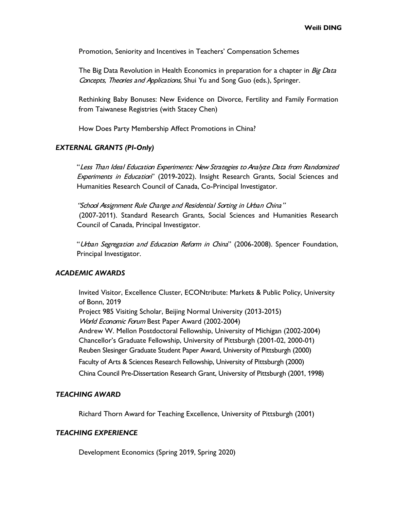Promotion, Seniority and Incentives in Teachers' Compensation Schemes

The Big Data Revolution in Health Economics in preparation for a chapter in Big Data Concepts, Theories and Applications, Shui Yu and Song Guo (eds.), Springer.

Rethinking Baby Bonuses: New Evidence on Divorce, Fertility and Family Formation from Taiwanese Registries (with Stacey Chen)

How Does Party Membership Affect Promotions in China?

#### *EXTERNAL GRANTS (PI-Only)*

"Less Than Ideal Education Experiments: New Strategies to Analyze Data from Randomized Experiments in Education" (2019-2022). Insight Research Grants, Social Sciences and Humanities Research Council of Canada, Co-Principal Investigator.

"School Assignment Rule Change and Residential Sorting in Urban China" (2007-2011). Standard Research Grants, Social Sciences and Humanities Research Council of Canada, Principal Investigator.

"Urban Segregation and Education Reform in China" (2006-2008). Spencer Foundation, Principal Investigator.

## *ACADEMIC AWARDS*

Invited Visitor, Excellence Cluster, ECONtribute: Markets & Public Policy, University of Bonn, 2019 Project 985 Visiting Scholar, Beijing Normal University (2013-2015) World Economic Forum Best Paper Award (2002-2004) Andrew W. Mellon Postdoctoral Fellowship, University of Michigan (2002-2004) Chancellor's Graduate Fellowship, University of Pittsburgh (2001-02, 2000-01) Reuben Slesinger Graduate Student Paper Award, University of Pittsburgh (2000) Faculty of Arts & Sciences Research Fellowship, University of Pittsburgh (2000) China Council Pre-Dissertation Research Grant, University of Pittsburgh (2001, 1998)

### *TEACHING AWARD*

Richard Thorn Award for Teaching Excellence, University of Pittsburgh (2001)

### *TEACHING EXPERIENCE*

Development Economics (Spring 2019, Spring 2020)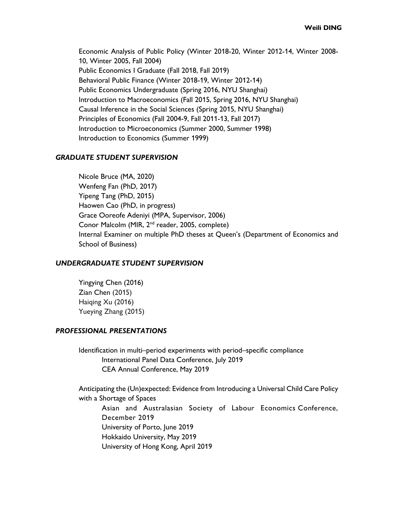Economic Analysis of Public Policy (Winter 2018-20, Winter 2012-14, Winter 2008- 10, Winter 2005, Fall 2004) Public Economics I Graduate (Fall 2018, Fall 2019) Behavioral Public Finance (Winter 2018-19, Winter 2012-14) Public Economics Undergraduate (Spring 2016, NYU Shanghai) Introduction to Macroeconomics (Fall 2015, Spring 2016, NYU Shanghai) Causal Inference in the Social Sciences (Spring 2015, NYU Shanghai) Principles of Economics (Fall 2004-9, Fall 2011-13, Fall 2017) Introduction to Microeconomics (Summer 2000, Summer 1998) Introduction to Economics (Summer 1999)

# *GRADUATE STUDENT SUPERVISION*

Nicole Bruce (MA, 2020) Wenfeng Fan (PhD, 2017) Yipeng Tang (PhD, 2015) Haowen Cao (PhD, in progress) Grace Ooreofe Adeniyi (MPA, Supervisor, 2006) Conor Malcolm (MIR, 2nd reader, 2005, complete) Internal Examiner on multiple PhD theses at Queen's (Department of Economics and School of Business)

#### *UNDERGRADUATE STUDENT SUPERVISION*

Yingying Chen (2016) Zian Chen (2015) Haiqing Xu (2016) Yueying Zhang (2015)

### *PROFESSIONAL PRESENTATIONS*

Identification in multi–period experiments with period–specific compliance International Panel Data Conference, July 2019 CEA Annual Conference, May 2019

Anticipating the (Un)expected: Evidence from Introducing a Universal Child Care Policy with a Shortage of Spaces

Asian and Australasian Society of Labour Economics Conference, December 2019 University of Porto, June 2019 Hokkaido University, May 2019 University of Hong Kong, April 2019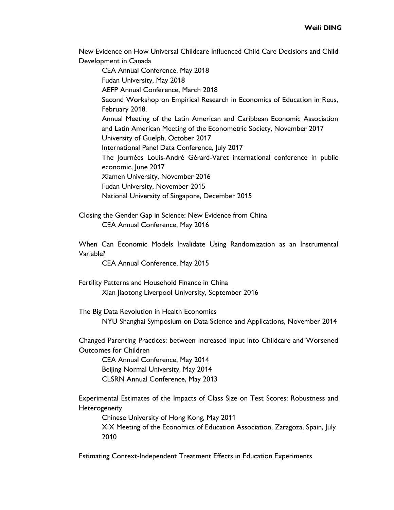New Evidence on How Universal Childcare Influenced Child Care Decisions and Child Development in Canada

CEA Annual Conference, May 2018 Fudan University, May 2018 AEFP Annual Conference, March 2018 Second Workshop on Empirical Research in Economics of Education in Reus, February 2018. Annual Meeting of the Latin American and Caribbean Economic Association and Latin American Meeting of the Econometric Society, November 2017 University of Guelph, October 2017 International Panel Data Conference, July 2017 The Journées Louis-André Gérard-Varet international conference in public economic, June 2017 Xiamen University, November 2016 Fudan University, November 2015 National University of Singapore, December 2015

Closing the Gender Gap in Science: New Evidence from China CEA Annual Conference, May 2016

When Can Economic Models Invalidate Using Randomization as an Instrumental Variable?

CEA Annual Conference, May 2015

Fertility Patterns and Household Finance in China Xian Jiaotong Liverpool University, September 2016

The Big Data Revolution in Health Economics NYU Shanghai Symposium on Data Science and Applications, November 2014

Changed Parenting Practices: between Increased Input into Childcare and Worsened Outcomes for Children

CEA Annual Conference, May 2014 Beijing Normal University, May 2014 CLSRN Annual Conference, May 2013

Experimental Estimates of the Impacts of Class Size on Test Scores: Robustness and Heterogeneity

Chinese University of Hong Kong, May 2011 XIX Meeting of the Economics of Education Association, Zaragoza, Spain, July 2010

Estimating Context-Independent Treatment Effects in Education Experiments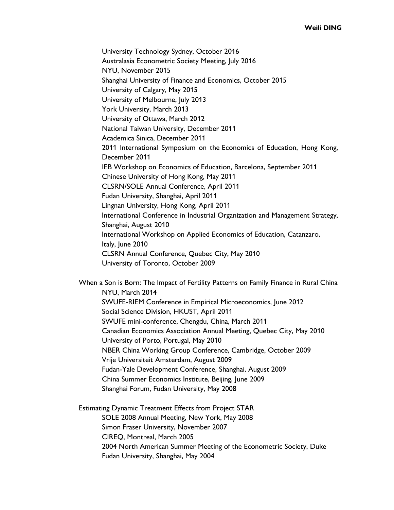University Technology Sydney, October 2016 Australasia Econometric Society Meeting, July 2016 NYU, November 2015 Shanghai University of Finance and Economics, October 2015 University of Calgary, May 2015 University of Melbourne, July 2013 York University, March 2013 University of Ottawa, March 2012 National Taiwan University, December 2011 Academica Sinica, December 2011 2011 International Symposium on the Economics of Education, Hong Kong, December 2011 IEB Workshop on Economics of Education, Barcelona, September 2011 Chinese University of Hong Kong, May 2011 CLSRN/SOLE Annual Conference, April 2011 Fudan University, Shanghai, April 2011 Lingnan University, Hong Kong, April 2011 International Conference in Industrial Organization and Management Strategy, Shanghai, August 2010 International Workshop on Applied Economics of Education, Catanzaro, Italy, June 2010 CLSRN Annual Conference, Quebec City, May 2010

University of Toronto, October 2009

When a Son is Born: The Impact of Fertility Patterns on Family Finance in Rural China NYU, March 2014 SWUFE-RIEM Conference in Empirical Microeconomics, June 2012 Social Science Division, HKUST, April 2011 SWUFE mini-conference, Chengdu, China, March 2011 Canadian Economics Association Annual Meeting, Quebec City, May 2010 University of Porto, Portugal, May 2010 NBER China Working Group Conference, Cambridge, October 2009 Vrije Universiteit Amsterdam, August 2009 Fudan-Yale Development Conference, Shanghai, August 2009 China Summer Economics Institute, Beijing, June 2009 Shanghai Forum, Fudan University, May 2008

Estimating Dynamic Treatment Effects from Project STAR SOLE 2008 Annual Meeting, New York, May 2008 Simon Fraser University, November 2007 CIREQ, Montreal, March 2005 2004 North American Summer Meeting of the Econometric Society, Duke Fudan University, Shanghai, May 2004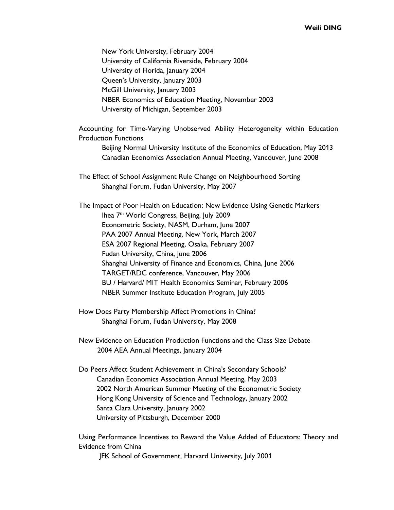New York University, February 2004 University of California Riverside, February 2004 University of Florida, January 2004 Queen's University, January 2003 McGill University, January 2003 NBER Economics of Education Meeting, November 2003 University of Michigan, September 2003

Accounting for Time-Varying Unobserved Ability Heterogeneity within Education Production Functions

Beijing Normal University Institute of the Economics of Education, May 2013 Canadian Economics Association Annual Meeting, Vancouver, June 2008

The Effect of School Assignment Rule Change on Neighbourhood Sorting Shanghai Forum, Fudan University, May 2007

The Impact of Poor Health on Education: New Evidence Using Genetic Markers Ihea 7th World Congress, Beijing, July 2009 Econometric Society, NASM, Durham, June 2007 PAA 2007 Annual Meeting, New York, March 2007 ESA 2007 Regional Meeting, Osaka, February 2007 Fudan University, China, June 2006 Shanghai University of Finance and Economics, China, June 2006 TARGET/RDC conference, Vancouver, May 2006 BU / Harvard/ MIT Health Economics Seminar, February 2006 NBER Summer Institute Education Program, July 2005

- How Does Party Membership Affect Promotions in China? Shanghai Forum, Fudan University, May 2008
- New Evidence on Education Production Functions and the Class Size Debate 2004 AEA Annual Meetings, January 2004
- Do Peers Affect Student Achievement in China's Secondary Schools? Canadian Economics Association Annual Meeting, May 2003 2002 North American Summer Meeting of the Econometric Society Hong Kong University of Science and Technology, January 2002 Santa Clara University, January 2002 University of Pittsburgh, December 2000

Using Performance Incentives to Reward the Value Added of Educators: Theory and Evidence from China

JFK School of Government, Harvard University, July 2001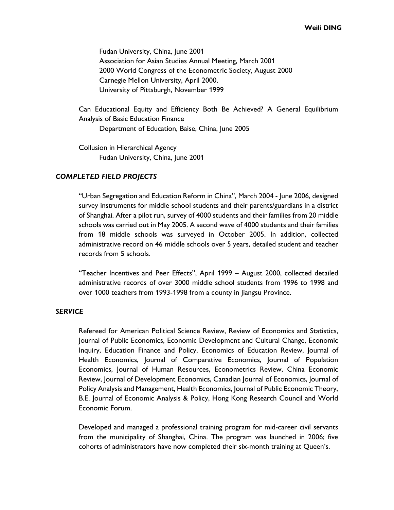Fudan University, China, June 2001 Association for Asian Studies Annual Meeting, March 2001 2000 World Congress of the Econometric Society, August 2000 Carnegie Mellon University, April 2000. University of Pittsburgh, November 1999

Can Educational Equity and Efficiency Both Be Achieved? A General Equilibrium Analysis of Basic Education Finance

Department of Education, Baise, China, June 2005

Collusion in Hierarchical Agency Fudan University, China, June 2001

## *COMPLETED FIELD PROJECTS*

"Urban Segregation and Education Reform in China", March 2004 - June 2006, designed survey instruments for middle school students and their parents/guardians in a district of Shanghai. After a pilot run, survey of 4000 students and their families from 20 middle schools was carried out in May 2005. A second wave of 4000 students and their families from 18 middle schools was surveyed in October 2005. In addition, collected administrative record on 46 middle schools over 5 years, detailed student and teacher records from 5 schools.

"Teacher Incentives and Peer Effects", April 1999 – August 2000, collected detailed administrative records of over 3000 middle school students from 1996 to 1998 and over 1000 teachers from 1993-1998 from a county in Jiangsu Province.

# *SERVICE*

Refereed for American Political Science Review, Review of Economics and Statistics, Journal of Public Economics, Economic Development and Cultural Change, Economic Inquiry, Education Finance and Policy, Economics of Education Review, Journal of Health Economics, Journal of Comparative Economics, Journal of Population Economics, Journal of Human Resources, Econometrics Review, China Economic Review, Journal of Development Economics, Canadian Journal of Economics, Journal of Policy Analysis and Management, Health Economics, Journal of Public Economic Theory, B.E. Journal of Economic Analysis & Policy, Hong Kong Research Council and World Economic Forum.

Developed and managed a professional training program for mid-career civil servants from the municipality of Shanghai, China. The program was launched in 2006; five cohorts of administrators have now completed their six-month training at Queen's.